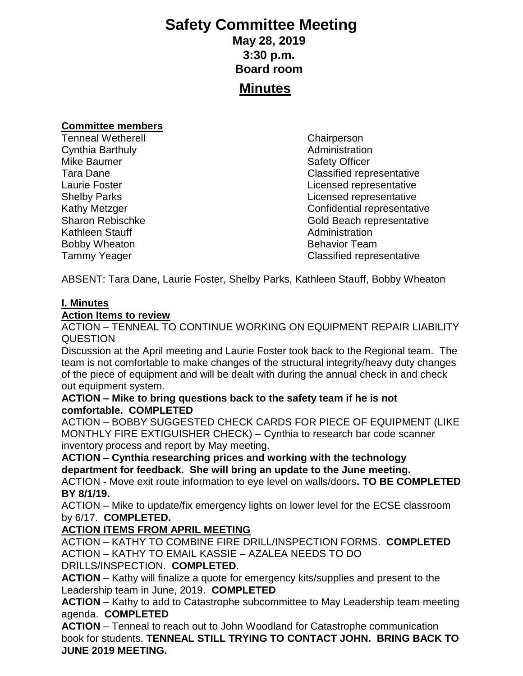# **Safety Committee Meeting May 28, 2019 3:30 p.m. Board room**

# **Minutes**

#### **Committee members**

Tenneal Wetherell **Chairperson** Cynthia Barthuly **Administration Administration** Mike Baumer **Safety Officer** Safety Officer Kathleen Stauff **Administration** Bobby Wheaton **Bobby Wheaton Behavior Team** 

Tara Dane Classified representative Laurie Foster **Laurie Foster Licensed representative** Shelby Parks **Contract Contract Contract Contract Contract Contract Contract Contract Contract Contract Contract Contract Contract Contract Contract Contract Contract Contract Contract Contract Contract Contract Contract C** Kathy Metzger **Confidential representative** Sharon Rebischke Gold Beach representative Tammy Yeager Classified representative

ABSENT: Tara Dane, Laurie Foster, Shelby Parks, Kathleen Stauff, Bobby Wheaton

### **I. Minutes**

### **Action Items to review**

ACTION – TENNEAL TO CONTINUE WORKING ON EQUIPMENT REPAIR LIABILITY **QUESTION** 

Discussion at the April meeting and Laurie Foster took back to the Regional team. The team is not comfortable to make changes of the structural integrity/heavy duty changes of the piece of equipment and will be dealt with during the annual check in and check out equipment system.

### **ACTION – Mike to bring questions back to the safety team if he is not comfortable. COMPLETED**

ACTION – BOBBY SUGGESTED CHECK CARDS FOR PIECE OF EQUIPMENT (LIKE MONTHLY FIRE EXTIGUISHER CHECK) – Cynthia to research bar code scanner inventory process and report by May meeting.

## **ACTION – Cynthia researching prices and working with the technology department for feedback. She will bring an update to the June meeting.**

ACTION - Move exit route information to eye level on walls/doors**. TO BE COMPLETED BY 8/1/19.**

ACTION – Mike to update/fix emergency lights on lower level for the ECSE classroom by 6/17. **COMPLETED.**

## **ACTION ITEMS FROM APRIL MEETING**

ACTION – KATHY TO COMBINE FIRE DRILL/INSPECTION FORMS. **COMPLETED** ACTION – KATHY TO EMAIL KASSIE – AZALEA NEEDS TO DO DRILLS/INSPECTION. **COMPLETED**.

**ACTION** – Kathy will finalize a quote for emergency kits/supplies and present to the Leadership team in June, 2019. **COMPLETED**

**ACTION** – Kathy to add to Catastrophe subcommittee to May Leadership team meeting agenda. **COMPLETED**

**ACTION** – Tenneal to reach out to John Woodland for Catastrophe communication book for students. **TENNEAL STILL TRYING TO CONTACT JOHN. BRING BACK TO JUNE 2019 MEETING.**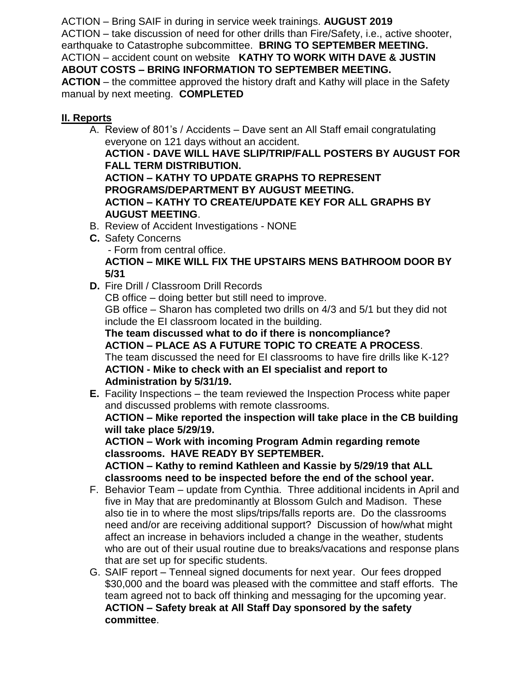ACTION – Bring SAIF in during in service week trainings. **AUGUST 2019** ACTION – take discussion of need for other drills than Fire/Safety, i.e., active shooter, earthquake to Catastrophe subcommittee. **BRING TO SEPTEMBER MEETING.** ACTION – accident count on website **KATHY TO WORK WITH DAVE & JUSTIN ABOUT COSTS – BRING INFORMATION TO SEPTEMBER MEETING.**

**ACTION** – the committee approved the history draft and Kathy will place in the Safety manual by next meeting. **COMPLETED**

## **II. Reports**

- A. Review of 801's / Accidents Dave sent an All Staff email congratulating everyone on 121 days without an accident. **ACTION - DAVE WILL HAVE SLIP/TRIP/FALL POSTERS BY AUGUST FOR FALL TERM DISTRIBUTION. ACTION – KATHY TO UPDATE GRAPHS TO REPRESENT PROGRAMS/DEPARTMENT BY AUGUST MEETING. ACTION – KATHY TO CREATE/UPDATE KEY FOR ALL GRAPHS BY AUGUST MEETING**.
- B. Review of Accident Investigations NONE
- **C.** Safety Concerns - Form from central office. **ACTION – MIKE WILL FIX THE UPSTAIRS MENS BATHROOM DOOR BY 5/31**
- **D.** Fire Drill / Classroom Drill Records

CB office – doing better but still need to improve.

GB office – Sharon has completed two drills on 4/3 and 5/1 but they did not include the EI classroom located in the building.

**The team discussed what to do if there is noncompliance? ACTION – PLACE AS A FUTURE TOPIC TO CREATE A PROCESS**. The team discussed the need for EI classrooms to have fire drills like K-12? **ACTION - Mike to check with an EI specialist and report to Administration by 5/31/19.**

**E.** Facility Inspections – the team reviewed the Inspection Process white paper and discussed problems with remote classrooms.

**ACTION – Mike reported the inspection will take place in the CB building will take place 5/29/19.**

**ACTION – Work with incoming Program Admin regarding remote classrooms. HAVE READY BY SEPTEMBER.**

**ACTION – Kathy to remind Kathleen and Kassie by 5/29/19 that ALL classrooms need to be inspected before the end of the school year.**

- F. Behavior Team update from Cynthia. Three additional incidents in April and five in May that are predominantly at Blossom Gulch and Madison. These also tie in to where the most slips/trips/falls reports are. Do the classrooms need and/or are receiving additional support? Discussion of how/what might affect an increase in behaviors included a change in the weather, students who are out of their usual routine due to breaks/vacations and response plans that are set up for specific students.
- G. SAIF report Tenneal signed documents for next year. Our fees dropped \$30,000 and the board was pleased with the committee and staff efforts. The team agreed not to back off thinking and messaging for the upcoming year. **ACTION – Safety break at All Staff Day sponsored by the safety committee**.